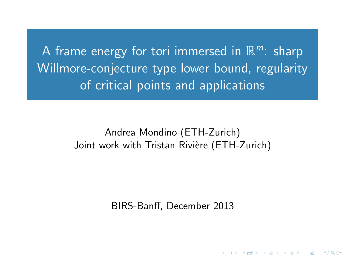A frame energy for tori immersed in  $\mathbb{R}^m$ : sharp Willmore-conjecture type lower bound, regularity of critical points and applications

> Andrea Mondino (ETH-Zurich) Joint work with Tristan Rivière (ETH-Zurich)

> > BIRS-Banff, December 2013

**KORKA SERKER ORA**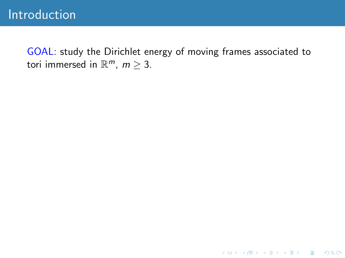K ロ ▶ K @ ▶ K 할 X X 할 X | 할 X 1 9 Q Q ^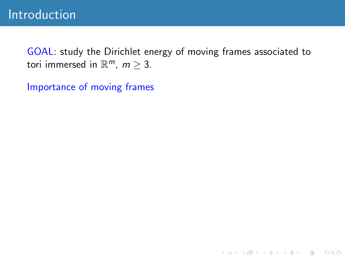Importance of moving frames

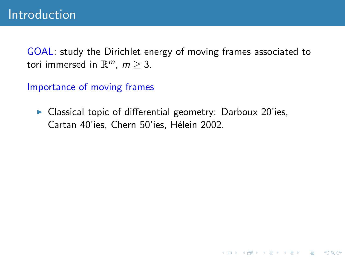Importance of moving frames

 $\blacktriangleright$  Classical topic of differential geometry: Darboux 20'ies, Cartan 40'ies, Chern 50'ies, Hélein 2002.

**KORKA SERKER ORA**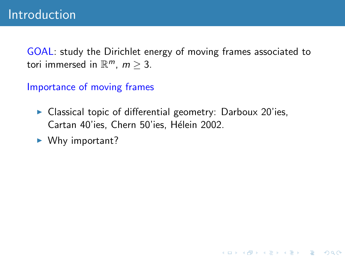Importance of moving frames

 $\triangleright$  Classical topic of differential geometry: Darboux 20'ies, Cartan 40'ies, Chern 50'ies, Hélein 2002.

**KORKA SERKER ORA** 

 $\blacktriangleright$  Why important?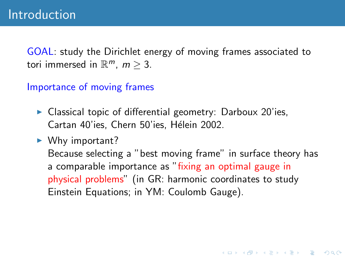Importance of moving frames

- $\triangleright$  Classical topic of differential geometry: Darboux 20'ies, Cartan 40'ies, Chern 50'ies, Hélein 2002.
- $\blacktriangleright$  Why important? Because selecting a "best moving frame" in surface theory has a comparable importance as "fixing an optimal gauge in physical problems" (in GR: harmonic coordinates to study Einstein Equations; in YM: Coulomb Gauge).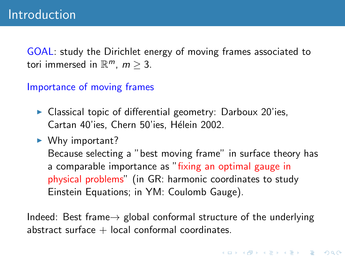Importance of moving frames

- $\triangleright$  Classical topic of differential geometry: Darboux 20'ies, Cartan 40'ies, Chern 50'ies, Hélein 2002.
- $\blacktriangleright$  Why important? Because selecting a "best moving frame" in surface theory has a comparable importance as "fixing an optimal gauge in physical problems" (in GR: harmonic coordinates to study Einstein Equations; in YM: Coulomb Gauge).

Indeed: Best frame $\rightarrow$  global conformal structure of the underlying abstract surface  $+$  local conformal coordinates.

KID KA KERKER E VOOR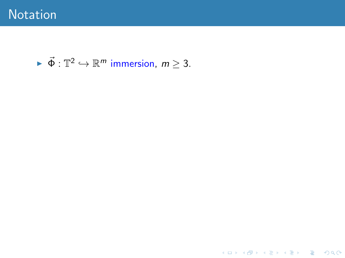$$
\blacktriangleright \vec{\Phi} : \mathbb{T}^2 \hookrightarrow \mathbb{R}^m \text{ immersion, } m \geq 3.
$$

K ロ ▶ K @ ▶ K 할 X K 할 X - 할 X - 9 Q Q\*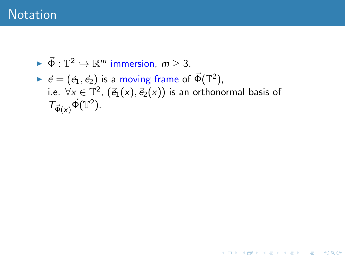### **Notation**

- $\blacktriangleright \vec{\Phi}: \mathbb{T}^2 \hookrightarrow \mathbb{R}^m$  immersion,  $m \geq 3$ .
- $\blacktriangleright$   $\vec{e} = (\vec{e}_1, \vec{e}_2)$  is a moving frame of  $\vec{\Phi}(\mathbb{T}^2)$ , i.e.  $\forall x\in\mathbb{T}^2$ ,  $(\vec{e}_1(x),\vec{e}_2(x))$  is an orthonormal basis of  $\mathcal{T}_{\vec{\Phi}(x)}\vec{\Phi}(\mathbb{T}^2).$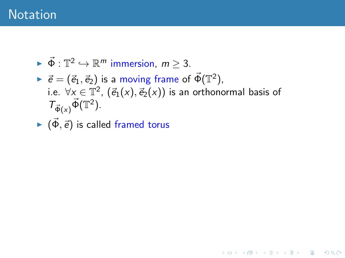## **Notation**

- $\blacktriangleright \vec{\Phi}: \mathbb{T}^2 \hookrightarrow \mathbb{R}^m$  immersion,  $m \geq 3$ .
- $\blacktriangleright$   $\vec{e} = (\vec{e}_1, \vec{e}_2)$  is a moving frame of  $\vec{\Phi}(\mathbb{T}^2)$ , i.e.  $\forall x\in\mathbb{T}^2$ ,  $(\vec{e}_1(x),\vec{e}_2(x))$  is an orthonormal basis of  $\mathcal{T}_{\vec{\Phi}(x)}\vec{\Phi}(\mathbb{T}^2).$

K ロ ▶ K @ ▶ K 할 ▶ K 할 ▶ 이 할 → 9 Q @

 $\blacktriangleright$   $(\vec{\Phi}, \vec{e})$  is called framed torus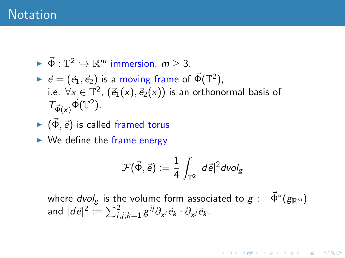### **Notation**

- $\blacktriangleright \vec{\Phi}: \mathbb{T}^2 \hookrightarrow \mathbb{R}^m$  immersion,  $m \geq 3$ .
- $\blacktriangleright$   $\vec{e} = (\vec{e}_1, \vec{e}_2)$  is a moving frame of  $\vec{\Phi}(\mathbb{T}^2)$ , i.e.  $\forall x\in\mathbb{T}^2$ ,  $(\vec{e}_1(x),\vec{e}_2(x))$  is an orthonormal basis of  $\mathcal{T}_{\vec{\Phi}(x)}\vec{\Phi}(\mathbb{T}^2).$
- $\blacktriangleright$   $(\vec{\Phi}, \vec{e})$  is called framed torus
- $\triangleright$  We define the frame energy

$$
\mathcal{F}(\vec{\Phi}, \vec{e}) := \frac{1}{4} \int_{\mathbb{T}^2} |d\vec{e}|^2 d\text{vol}_g
$$

where  $\mathit{dvol}_g$  is the volume form associated to  $g:=\vec{\Phi}^*(g_{\mathbb{R}^m})$ and  $|d\vec{e}|^2:=\sum_{i,j,k=1}^2g^{ij}\partial_{x^i}\vec{e}_k\cdot\partial_{x^j}\vec{e}_k.$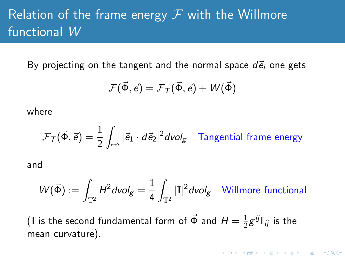## Relation of the frame energy  $\mathcal F$  with the Willmore functional W

By projecting on the tangent and the normal space  $d\vec{e}_i$  one gets

$$
\mathcal{F}(\vec{\Phi}, \vec{e}) = \mathcal{F}_{\mathcal{T}}(\vec{\Phi}, \vec{e}) + W(\vec{\Phi})
$$

where

$$
\mathcal{F}_{\mathcal{T}}(\vec{\Phi}, \vec{e}) = \frac{1}{2} \int_{\mathbb{T}^2} |\vec{e}_1 \cdot d\vec{e}_2|^2 d\text{vol}_g \quad \text{Tangential frame energy}
$$

and

$$
W(\vec{\Phi}):=\int_{\mathbb{T}^2}H^2d\text{vol}_g=\frac{1}{4}\int_{\mathbb{T}^2}|\mathbb{I}|^2d\text{vol}_g\quad\text{Willmore functional}
$$

(I is the second fundamental form of  $\vec{\Phi}$  and  $H = \frac{1}{2}$  $\frac{1}{2}g^{ij}\mathbb{I}_{ij}$  is the mean curvature).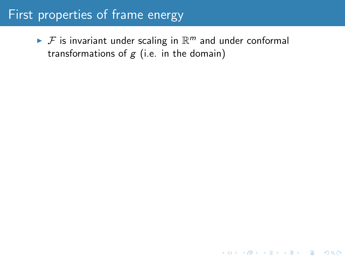$\blacktriangleright$   $\mathcal F$  is invariant under scaling in  $\mathbb R^m$  and under conformal transformations of  $g$  (i.e. in the domain)

**K ロ ▶ K 個 ▶ K 필 ▶ K 필 ▶ - 필 - 10 Q Q Q**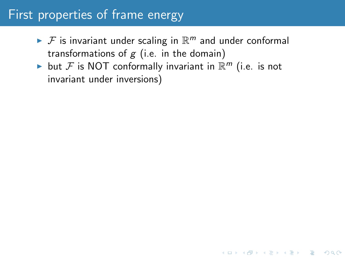- $\blacktriangleright$   $\mathcal F$  is invariant under scaling in  $\mathbb R^m$  and under conformal transformations of  $g$  (i.e. in the domain)
- but F is NOT conformally invariant in  $\mathbb{R}^m$  (i.e. is not invariant under inversions)

**K ロ ▶ K 個 ▶ K 필 ▶ K 필 ▶ - 필 - 10 Q Q Q**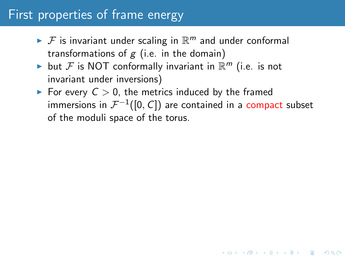- $\blacktriangleright$   $\mathcal F$  is invariant under scaling in  $\mathbb R^m$  and under conformal transformations of  $g$  (i.e. in the domain)
- but F is NOT conformally invariant in  $\mathbb{R}^m$  (i.e. is not invariant under inversions)
- <span id="page-14-0"></span>For every  $C > 0$ , the metrics induced by the framed immersions in  $\mathcal{F}^{-1}([0,\,\mathcal{C}])$  are contained in a compact subset of the moduli space of the torus.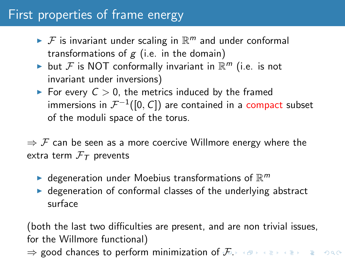- $\blacktriangleright$   $\mathcal F$  is invariant under scaling in  $\mathbb R^m$  and under conformal transformations of  $g$  (i.e. in the domain)
- but F is NOT conformally invariant in  $\mathbb{R}^m$  (i.e. is not invariant under inversions)
- For every  $C > 0$ , the metrics induced by the framed immersions in  $\mathcal{F}^{-1}([0,\,\mathcal{C}])$  are contained in a compact subset of the moduli space of the torus.

 $\Rightarrow$  F can be seen as a more coercive Willmore energy where the extra term  $\mathcal{F}_{\tau}$  prevents

- $\blacktriangleright$  degeneration under Moebius transformations of  $\mathbb{R}^m$
- $\triangleright$  degeneration of conformal classes of the underlying abstract surface

(both the last two difficulties are present, and are non trivial issues, for the Willmore functional)

 $\Rightarrow$  good chances to perform minimization of  $\mathcal{F}$  $\mathcal{F}$  $\mathcal{F}$ [.](#page-16-0)  $\iff$   $\Rightarrow$   $\Rightarrow$   $\Rightarrow$   $\Rightarrow$   $\Rightarrow$   $\Rightarrow$   $\circ$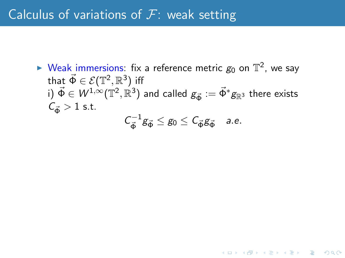<span id="page-16-0"></span> $\blacktriangleright$  Weak immersions: fix a reference metric  $g_0$  on  $\mathbb{T}^2$ , we say that  $\vec{\Phi} \in \mathcal{E}(\mathbb{T}^2,\mathbb{R}^3)$  iff  $\vec{p}(\vec{\Phi}\in W^{1,\infty}(\mathbb{T}^2,\mathbb{R}^3)$  and called  $g_{\vec{\Phi}}:=\vec{\Phi}^*g_{\mathbb{R}^3}$  there exists  $C_{\vec{p}} > 1$  s.t.  $C^{-1}_{\vec{\boldsymbol{\lambda}}}$  $\overline{\vec{\phi}}^{\text{-1}}g_{\vec{\Phi}} \leq g_0 \leq \mathcal{C}_{\vec{\Phi}}g_{\vec{\Phi}}$  a.e.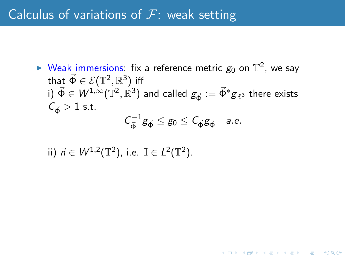$\blacktriangleright$  Weak immersions: fix a reference metric  $g_0$  on  $\mathbb{T}^2$ , we say that  $\vec{\Phi} \in \mathcal{E}(\mathbb{T}^2,\mathbb{R}^3)$  iff  $\vec{p}(\vec{\Phi}\in W^{1,\infty}(\mathbb{T}^2,\mathbb{R}^3)$  and called  $g_{\vec{\Phi}}:=\vec{\Phi}^*g_{\mathbb{R}^3}$  there exists  $C_{\vec{p}} > 1$  s.t.  $\mathcal{C}_{\vec{\Phi}}^{-1} g_{\vec{\Phi}} \leq g_0 \leq \mathcal{C}_{\vec{\Phi}} g_{\vec{\Phi}} \quad \textit{a.e.}$ 

$$
\cup_{\vec{\varphi}} \mathcal{B}_{\vec{\varphi}} \geq \mathcal{B}0 \geq \cup_{\vec{\varphi}} \mathcal{B}_{\vec{\varphi}} \quad a.
$$

**KORKA SERKER ORA** 

ii) 
$$
\vec{n} \in W^{1,2}(\mathbb{T}^2)
$$
, i.e.  $\mathbb{I} \in L^2(\mathbb{T}^2)$ .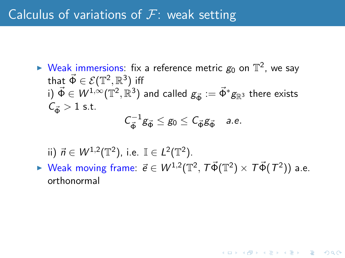$\blacktriangleright$  Weak immersions: fix a reference metric  $g_0$  on  $\mathbb{T}^2$ , we say that  $\vec{\Phi} \in \mathcal{E}(\mathbb{T}^2,\mathbb{R}^3)$  iff  $\vec{p}(\vec{\Phi}\in W^{1,\infty}(\mathbb{T}^2,\mathbb{R}^3)$  and called  $g_{\vec{\Phi}}:=\vec{\Phi}^*g_{\mathbb{R}^3}$  there exists  $C_{\vec{p}} > 1$  s.t.  $C^{-1}_{\vec{\boldsymbol{\lambda}}}$  $\overline{\vec{\phi}}^{\text{-1}}g_{\vec{\Phi}} \leq g_0 \leq \mathcal{C}_{\vec{\Phi}}g_{\vec{\Phi}}$  a.e.

ii) 
$$
\vec{n} \in W^{1,2}(\mathbb{T}^2)
$$
, i.e.  $\mathbb{I} \in L^2(\mathbb{T}^2)$ .

► Weak moving frame:  $\vec{e} \in W^{1,2}(\mathbb{T}^2, \mathcal{T}\vec{\Phi}(\mathbb{T}^2) \times \mathcal{T}\vec{\Phi}(\mathcal{T}^2))$  a.e. orthonormal

**KORKARYKERKE POLO**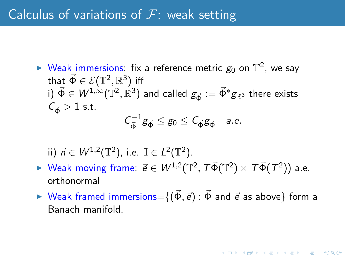$\blacktriangleright$  Weak immersions: fix a reference metric  $g_0$  on  $\mathbb{T}^2$ , we say that  $\vec{\Phi} \in \mathcal{E}(\mathbb{T}^2,\mathbb{R}^3)$  iff  $\vec{p}(\vec{\Phi}\in W^{1,\infty}(\mathbb{T}^2,\mathbb{R}^3)$  and called  $g_{\vec{\Phi}}:=\vec{\Phi}^*g_{\mathbb{R}^3}$  there exists  $C_{\vec{r}} > 1$  s.t.  $C^{-1}_{\vec{\boldsymbol{\lambda}}}$  $\overline{\vec{\phi}}^{\text{-1}}g_{\vec{\Phi}} \leq g_0 \leq \mathcal{C}_{\vec{\Phi}}g_{\vec{\Phi}}$  a.e.

ii)  $\vec{n} \in W^{1,2}(\mathbb{T}^2)$ , i.e.  $\mathbb{I} \in L^2(\mathbb{T}^2)$ .

- ► Weak moving frame:  $\vec{e} \in W^{1,2}(\mathbb{T}^2, \mathcal{T}\vec{\Phi}(\mathbb{T}^2) \times \mathcal{T}\vec{\Phi}(\mathcal{T}^2))$  a.e. orthonormal
- $\triangleright$  Weak framed immersions= $\{(\vec{\Phi}, \vec{e}) : \vec{\Phi} \text{ and } \vec{e} \text{ as above}\}$  form a Banach manifold.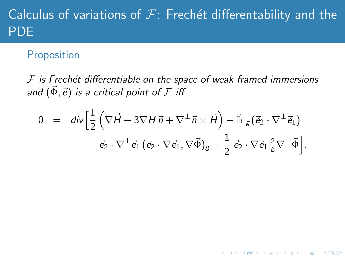## Calculus of variations of  $\mathcal{F}$ : Frechét differentability and the PDE

#### Proposition

 $F$  is Frechét differentiable on the space of weak framed immersions and  $(\vec{\Phi}, \vec{e})$  is a critical point of F iff

$$
0 = div \Big[ \frac{1}{2} \left( \nabla \vec{H} - 3 \nabla H \vec{n} + \nabla^{\perp} \vec{n} \times \vec{H} \right) - \vec{\mathbb{I}}_{\perp g} (\vec{e}_2 \cdot \nabla^{\perp} \vec{e}_1) - \vec{e}_2 \cdot \nabla^{\perp} \vec{e}_1 (\vec{e}_2 \cdot \nabla \vec{e}_1, \nabla \vec{\Phi})_g + \frac{1}{2} |\vec{e}_2 \cdot \nabla \vec{e}_1|_g^2 \nabla^{\perp} \vec{\Phi} \Big].
$$

**KORKA SERKER ORA**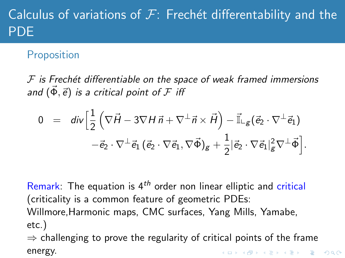## Calculus of variations of  $\mathcal{F}$ : Frechét differentability and the PDE

### Proposition

 $F$  is Frechét differentiable on the space of weak framed immersions and  $(\vec{\Phi}, \vec{e})$  is a critical point of F iff

$$
0 = div \Big[ \frac{1}{2} \left( \nabla \vec{H} - 3 \nabla H \vec{n} + \nabla^{\perp} \vec{n} \times \vec{H} \right) - \vec{\mathbb{I}}_{\perp g} (\vec{e}_2 \cdot \nabla^{\perp} \vec{e}_1) - \vec{e}_2 \cdot \nabla^{\perp} \vec{e}_1 (\vec{e}_2 \cdot \nabla \vec{e}_1, \nabla \vec{\Phi})_g + \frac{1}{2} |\vec{e}_2 \cdot \nabla \vec{e}_1|_g^2 \nabla^{\perp} \vec{\Phi} \Big].
$$

Remark: The equation is  $4^{th}$  order non linear elliptic and critical (criticality is a common feature of geometric PDEs: Willmore,Harmonic maps, CMC surfaces, Yang Mills, Yamabe, etc.)

 $\Rightarrow$  challenging to prove the regularity of critical points of the frame energy.**KORKA SERKER ORA**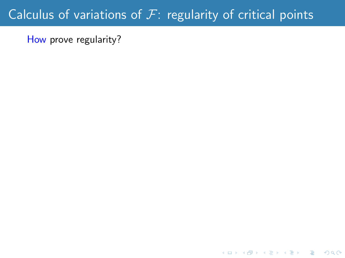## Calculus of variations of  $F$ : regularity of critical points

K ロ ▶ K @ ▶ K 할 > K 할 > 1 할 > 1 이익어

How prove regularity?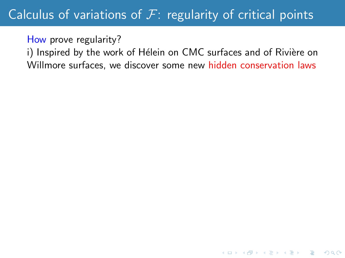## Calculus of variations of  $F$ : regularity of critical points

How prove regularity?

i) Inspired by the work of Hélein on CMC surfaces and of Rivière on Willmore surfaces, we discover some new hidden conservation laws

**K ロ ▶ K 個 ▶ K 필 ▶ K 필 ▶ - 필 - 10 Q Q Q**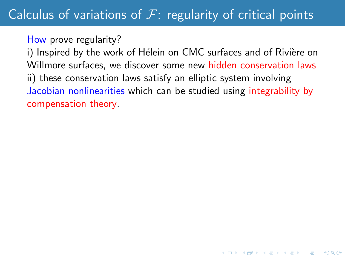#### How prove regularity?

i) Inspired by the work of Hélein on CMC surfaces and of Rivière on Willmore surfaces, we discover some new hidden conservation laws ii) these conservation laws satisfy an elliptic system involving Jacobian nonlinearities which can be studied using integrability by compensation theory.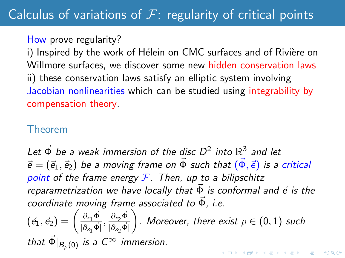#### How prove regularity?

i) Inspired by the work of Hélein on CMC surfaces and of Rivière on Willmore surfaces, we discover some new hidden conservation laws ii) these conservation laws satisfy an elliptic system involving Jacobian nonlinearities which can be studied using integrability by compensation theory.

#### Theorem

Let  $\vec{\Phi}$  be a weak immersion of the disc  $D^2$  into  $\mathbb{R}^3$  and let  $\vec{e} = (\vec{e}_1, \vec{e}_2)$  be a moving frame on  $\vec{\Phi}$  such that  $(\vec{\Phi}, \vec{e})$  is a critical point of the frame energy  $\mathcal F$ . Then, up to a bilipschitz reparametrization we have locally that  $\vec{\Phi}$  is conformal and  $\vec{e}$  is the coordinate moving frame associated to  $\vec{\Phi}$ , i.e.

 $(\vec{e}_1,\vec{e}_2) = \begin{pmatrix} \frac{\partial_{\mathsf{x}_1} \vec{\Phi}}{\partial \mathsf{z}^2} \end{pmatrix}$  $\Big).$  Moreover, there exist  $\rho \in (0,1)$  such  $\frac{\partial_{\mathsf{x}_1} \vec{\Phi}}{|\partial_{\mathsf{x}_1} \vec{\Phi}|}, \frac{\partial_{\mathsf{x}_2} \vec{\Phi}}{|\partial_{\mathsf{x}_2} \vec{\Phi}}$  $\overline{|\partial_{x_2}\vec{\Phi}|}$ that  $\vec{\Phi}|_{B_0(0)}$  is a  $C^{\infty}$  immersion. -<br>KD > K@ > K 클 > K 클 > - 클 - 이익(M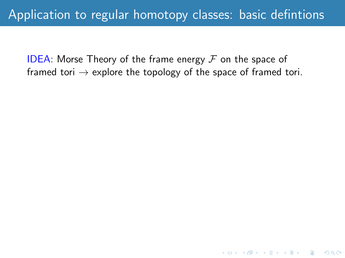K ロ ▶ K @ ▶ K 할 > K 할 > 1 할 > 1 이익어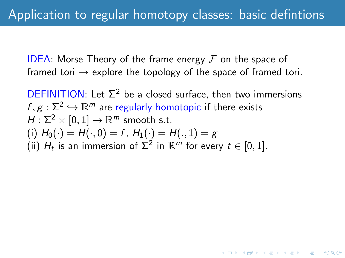DEFINITION: Let  $\Sigma^2$  be a closed surface, then two immersions  $f,g:\Sigma^2\hookrightarrow \mathbb{R}^m$  are regularly homotopic if there exists  $H: \Sigma^2 \times [0,1] \to \mathbb{R}^m$  smooth s.t. (i)  $H_0(\cdot) = H(\cdot, 0) = f$ ,  $H_1(\cdot) = H(\cdot, 1) = g$ (ii)  $H_t$  is an immersion of  $\Sigma^2$  in  $\mathbb{R}^m$  for every  $t \in [0,1]$ .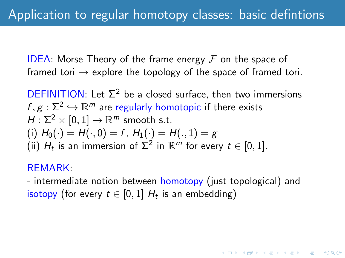DEFINITION: Let  $\Sigma^2$  be a closed surface, then two immersions  $f,g:\Sigma^2\hookrightarrow \mathbb{R}^m$  are regularly homotopic if there exists  $H: \Sigma^2 \times [0,1] \to \mathbb{R}^m$  smooth s.t. (i)  $H_0(\cdot) = H(\cdot, 0) = f$ ,  $H_1(\cdot) = H(\cdot, 1) = g$ (ii)  $H_t$  is an immersion of  $\Sigma^2$  in  $\mathbb{R}^m$  for every  $t \in [0,1]$ .

#### REMARK:

- intermediate notion between homotopy (just topological) and isotopy (for every  $t\in [0,1]$   $H_t$  is an embedding)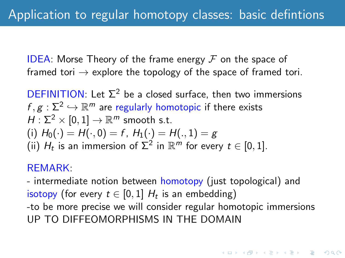DEFINITION: Let  $\Sigma^2$  be a closed surface, then two immersions  $f,g:\Sigma^2\hookrightarrow \mathbb{R}^m$  are regularly homotopic if there exists  $H: \Sigma^2 \times [0,1] \to \mathbb{R}^m$  smooth s.t. (i)  $H_0(\cdot) = H(\cdot, 0) = f$ ,  $H_1(\cdot) = H(\cdot, 1) = g$ (ii)  $H_t$  is an immersion of  $\Sigma^2$  in  $\mathbb{R}^m$  for every  $t \in [0,1]$ .

#### REMARK:

- intermediate notion between homotopy (just topological) and isotopy (for every  $t\in [0,1]$   $H_t$  is an embedding) -to be more precise we will consider regular homotopic immersions UP TO DIFFEOMORPHISMS IN THE DOMAIN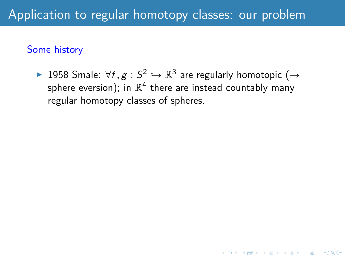▶ 1958 Smale:  $\forall f,g:S^2\hookrightarrow \mathbb{R}^3$  are regularly homotopic  $(\rightarrow$ sphere eversion); in  $\mathbb{R}^4$  there are instead countably many regular homotopy classes of spheres.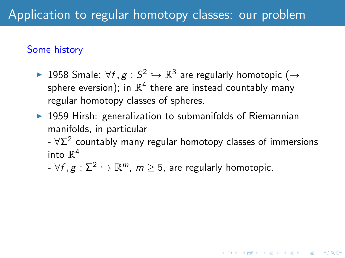- ▶ 1958 Smale:  $\forall f,g:S^2\hookrightarrow \mathbb{R}^3$  are regularly homotopic  $(\rightarrow$ sphere eversion); in  $\mathbb{R}^4$  there are instead countably many regular homotopy classes of spheres.
- $\triangleright$  1959 Hirsh: generalization to submanifolds of Riemannian manifolds, in particular
	- $\forall \Sigma^2$  countably many regular homotopy classes of immersions into  $\mathbb{R}^4$

**AD A REAKEY REPORT** 

 $- \forall f,g: Σ^2 \hookrightarrow ℝ^m, m ≥ 5$ , are regularly homotopic.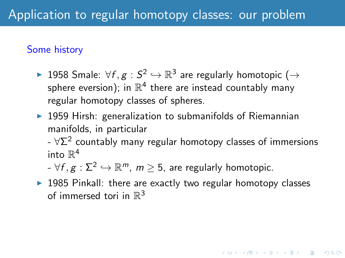- ▶ 1958 Smale:  $\forall f,g:S^2\hookrightarrow \mathbb{R}^3$  are regularly homotopic  $(\rightarrow$ sphere eversion); in  $\mathbb{R}^4$  there are instead countably many regular homotopy classes of spheres.
- $\triangleright$  1959 Hirsh: generalization to submanifolds of Riemannian manifolds, in particular
	- $\forall \Sigma^2$  countably many regular homotopy classes of immersions into  $\mathbb{R}^4$

**AD A REAKEY REPORT** 

- $\forall f,g: Σ^2 \hookrightarrow ℝ^m, m ≥ 5$ , are regularly homotopic.
- $\triangleright$  1985 Pinkall: there are exactly two regular homotopy classes of immersed tori in  $\mathbb{R}^3$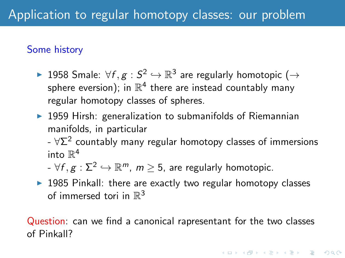- ▶ 1958 Smale:  $\forall f,g:S^2\hookrightarrow \mathbb{R}^3$  are regularly homotopic  $(\rightarrow$ sphere eversion); in  $\mathbb{R}^4$  there are instead countably many regular homotopy classes of spheres.
- $\triangleright$  1959 Hirsh: generalization to submanifolds of Riemannian manifolds, in particular
	- $\forall \Sigma^2$  countably many regular homotopy classes of immersions into  $\mathbb{R}^4$
	- $\forall f,g: Σ^2 \hookrightarrow ℝ^m, m ≥ 5$ , are regularly homotopic.
- $\triangleright$  1985 Pinkall: there are exactly two regular homotopy classes of immersed tori in  $\mathbb{R}^3$

Question: can we find a canonical rapresentant for the two classes of Pinkall?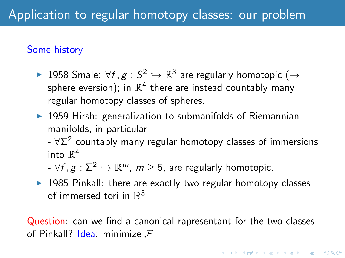- ▶ 1958 Smale:  $\forall f,g:S^2\hookrightarrow \mathbb{R}^3$  are regularly homotopic  $(\rightarrow$ sphere eversion); in  $\mathbb{R}^4$  there are instead countably many regular homotopy classes of spheres.
- $\triangleright$  1959 Hirsh: generalization to submanifolds of Riemannian manifolds, in particular
	- $\forall \Sigma^2$  countably many regular homotopy classes of immersions into  $\mathbb{R}^4$
	- $\forall f,g: Σ^2 \hookrightarrow ℝ^m, m ≥ 5$ , are regularly homotopic.
- $\triangleright$  1985 Pinkall: there are exactly two regular homotopy classes of immersed tori in  $\mathbb{R}^3$

Question: can we find a canonical rapresentant for the two classes of Pinkall?  $Idea$ : minimize  $F$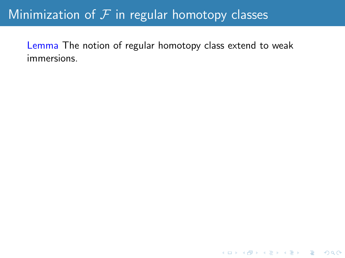## Minimization of  $F$  in regular homotopy classes

Lemma The notion of regular homotopy class extend to weak immersions.

**K ロ ▶ K 個 ▶ K 필 ▶ K 필 ▶ - 필 - 10 Q Q Q**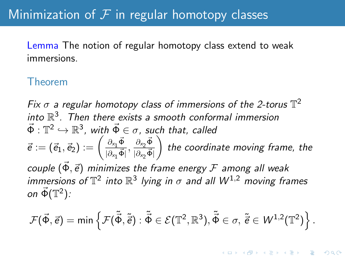Lemma The notion of regular homotopy class extend to weak immersions.

#### Theorem

Fix  $\sigma$  a regular homotopy class of immersions of the 2-torus  $\mathbb{T}^2$ into  $\mathbb{R}^3$ . Then there exists a smooth conformal immersion  $\vec\Phi:\mathbb{T}^2\hookrightarrow\mathbb{R}^3$ , with  $\vec\Phi\in\sigma$ , such that, called  $\vec{e} := (\vec{e}_1,\vec{e}_2) := \begin{pmatrix} \frac{\partial_{x_1}}{\partial \vec{b}} \ \frac{\partial}{\partial x_1} \end{pmatrix}$  $\frac{\partial_{\mathsf{x}_1} \vec{\Phi}}{|\partial_{\mathsf{x}_1} \vec{\Phi}|}, \frac{\partial_{\mathsf{x}_2} \vec{\Phi}}{|\partial_{\mathsf{x}_2} \vec{\Phi}}$  $|\partial_{x_2} \vec{\Phi}|$  $\big)$  the coordinate moving frame, the couple ( $\vec{\Phi}$ ,  $\vec{e}$ ) minimizes the frame energy  $\vec{F}$  among all weak immersions of  $\mathbb{T}^2$  into  $\mathbb{R}^3$  lying in  $\sigma$  and all  $W^{1,2}$  moving frames on  $\vec{\Phi}(\mathbb{T}^2)$  :

$$
\mathcal{F}(\vec{\Phi}, \vec{e}) = \min \left\{ \mathcal{F}(\tilde{\vec{\Phi}}, \tilde{\vec{e}}) : \tilde{\vec{\Phi}} \in \mathcal{E}(\mathbb{T}^2, \mathbb{R}^3), \tilde{\vec{\Phi}} \in \sigma, \, \tilde{\vec{e}} \in W^{1,2}(\mathbb{T}^2) \right\}.
$$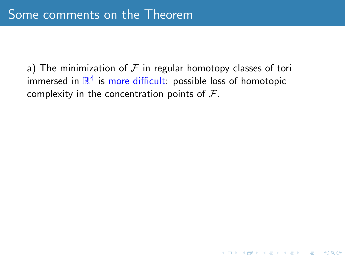a) The minimization of  $F$  in regular homotopy classes of tori immersed in  $\mathbb{R}^4$  is more difficult: possible loss of homotopic complexity in the concentration points of  $\mathcal{F}$ .

**K ロ ▶ K 個 ▶ K 필 ▶ K 필 ▶ - 필 - 10 Q Q Q**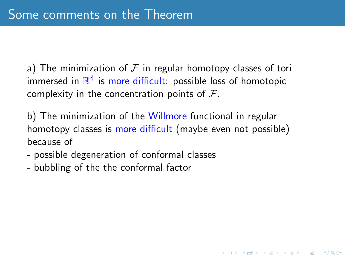a) The minimization of  $\mathcal F$  in regular homotopy classes of tori immersed in  $\mathbb{R}^4$  is more difficult: possible loss of homotopic complexity in the concentration points of  $\mathcal{F}$ .

b) The minimization of the Willmore functional in regular homotopy classes is more difficult (maybe even not possible) because of

- possible degeneration of conformal classes
- bubbling of the the conformal factor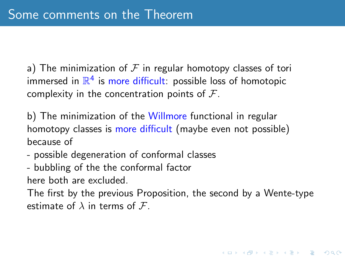a) The minimization of  $\mathcal F$  in regular homotopy classes of tori immersed in  $\mathbb{R}^4$  is more difficult: possible loss of homotopic complexity in the concentration points of  $\mathcal{F}$ .

b) The minimization of the Willmore functional in regular homotopy classes is more difficult (maybe even not possible) because of

- possible degeneration of conformal classes
- bubbling of the the conformal factor

here both are excluded.

The first by the previous Proposition, the second by a Wente-type estimate of  $\lambda$  in terms of  $\mathcal{F}$ .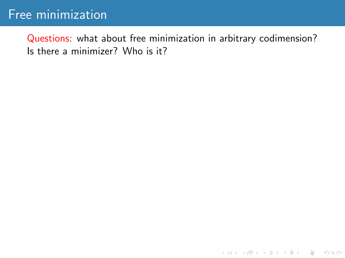Questions: what about free minimization in arbitrary codimension? Is there a minimizer? Who is it?

K ロ ▶ K @ ▶ K 할 ▶ K 할 ▶ | 할 | © 9 Q @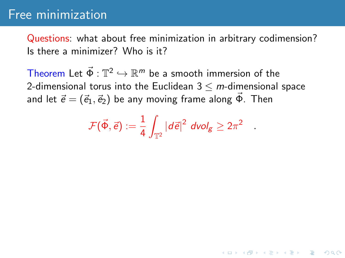Questions: what about free minimization in arbitrary codimension? Is there a minimizer? Who is it?

Theorem Let  $\vec{\Phi}:\mathbb{T}^2\hookrightarrow\mathbb{R}^m$  be a smooth immersion of the 2-dimensional torus into the Euclidean  $3 \le m$ -dimensional space and let  $\vec{e} = (\vec{e}_1, \vec{e}_2)$  be any moving frame along  $\vec{\Phi}$ . Then

$$
\mathcal{F}(\vec{\Phi}, \vec{e}) := \frac{1}{4} \int_{\mathbb{T}^2} |d\vec{e}|^2 \ d\textit{vol}_g \geq 2\pi^2
$$

.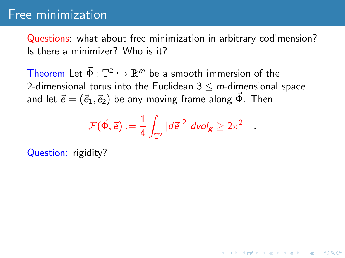Questions: what about free minimization in arbitrary codimension? Is there a minimizer? Who is it?

Theorem Let  $\vec{\Phi}:\mathbb{T}^2\hookrightarrow\mathbb{R}^m$  be a smooth immersion of the 2-dimensional torus into the Euclidean  $3 \le m$ -dimensional space and let  $\vec{e} = (\vec{e}_1, \vec{e}_2)$  be any moving frame along  $\vec{\Phi}$ . Then

$$
\mathcal{F}(\vec{\Phi}, \vec{e}) := \frac{1}{4} \int_{\mathbb{T}^2} |d\vec{e}|^2 \ d\textit{vol}_g \geq 2\pi^2
$$

.

**KORKAR KERKER E VOOR** 

Question: rigidity?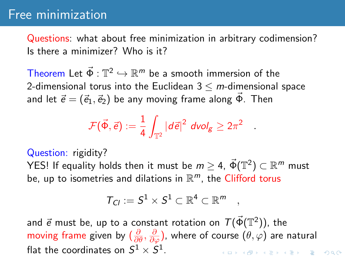Questions: what about free minimization in arbitrary codimension? Is there a minimizer? Who is it?

Theorem Let  $\vec{\Phi}:\mathbb{T}^2\hookrightarrow\mathbb{R}^m$  be a smooth immersion of the 2-dimensional torus into the Euclidean  $3 \leq m$ -dimensional space and let  $\vec{e} = (\vec{e}_1, \vec{e}_2)$  be any moving frame along  $\vec{\Phi}$ . Then

$$
\mathcal{F}(\vec{\Phi}, \vec{e}) := \frac{1}{4} \int_{\mathbb{T}^2} |d\vec{e}|^2 \ d\textit{vol}_g \geq 2\pi^2
$$

.

Question: rigidity?

YES! If equality holds then it must be  $m\geq 4$ ,  $\vec{\Phi}(\mathbb{T}^2)\subset \mathbb{R}^m$  must be, up to isometries and dilations in  $\mathbb{R}^m$ , the Clifford torus

$$
T_{Cl} := S^1 \times S^1 \subset \mathbb{R}^4 \subset \mathbb{R}^m \quad ,
$$

and  $\vec{e}$  must be, up to a constant rotation on  $\mathcal{T}(\vec{\Phi}(\mathbb{T}^2))$ , the moving frame given by  $(\frac{\partial}{\partial \theta}, \frac{\partial}{\partial \varphi})$ , where of course  $(\theta, \varphi)$  are natural flat the coordinates on  $S^1\times S^1.$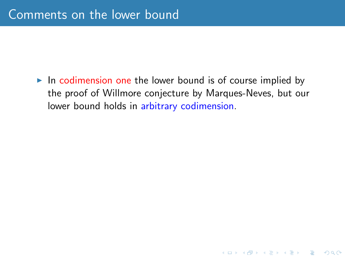In codimension one the lower bound is of course implied by the proof of Willmore conjecture by Marques-Neves, but our lower bound holds in arbitrary codimension.

K ロ ▶ K @ ▶ K 할 > K 할 > 1 할 > 1 이익어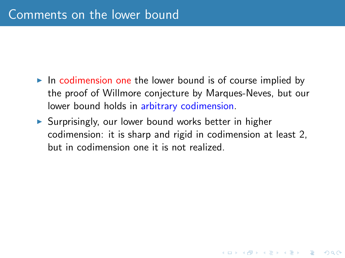- $\blacktriangleright$  In codimension one the lower bound is of course implied by the proof of Willmore conjecture by Marques-Neves, but our lower bound holds in arbitrary codimension.
- $\triangleright$  Surprisingly, our lower bound works better in higher codimension: it is sharp and rigid in codimension at least 2, but in codimension one it is not realized.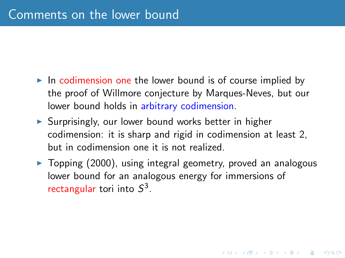- $\blacktriangleright$  In codimension one the lower bound is of course implied by the proof of Willmore conjecture by Marques-Neves, but our lower bound holds in arbitrary codimension.
- $\triangleright$  Surprisingly, our lower bound works better in higher codimension: it is sharp and rigid in codimension at least 2, but in codimension one it is not realized.
- $\triangleright$  Topping (2000), using integral geometry, proved an analogous lower bound for an analogous energy for immersions of rectangular tori into  $S^3$ .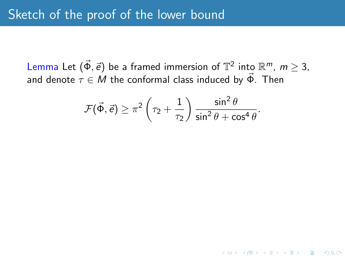$$
\mathcal{F}(\vec{\Phi}, \vec{e}) \geq \pi^2 \left(\tau_2 + \frac{1}{\tau_2}\right) \frac{\sin^2 \theta}{\sin^2 \theta + \cos^4 \theta}.
$$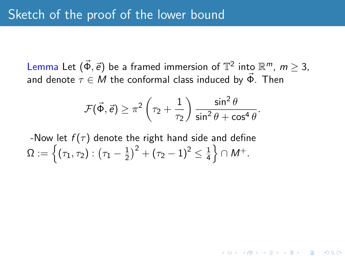$$
\mathcal{F}(\vec{\Phi}, \vec{e}) \geq \pi^2 \left(\tau_2 + \frac{1}{\tau_2}\right) \frac{\sin^2 \theta}{\sin^2 \theta + \cos^4 \theta}.
$$

**KORKAR KERKER E VOOR** 

-Now let  $f(\tau)$  denote the right hand side and define  $\Omega:=\Big\{(\tau_1,\tau_2): \big(\tau_1-\frac{1}{2}\big)$  $\left(\frac{1}{2}\right)^2+\left(\tau_2-1\right)^2\leq \frac{1}{4}$  $\frac{1}{4} \Big\} \cap M^+.$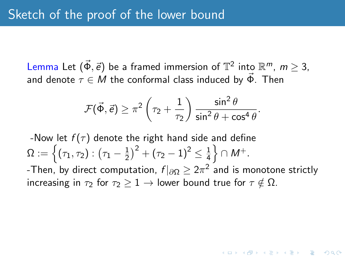$$
\mathcal{F}(\vec{\Phi}, \vec{e}) \geq \pi^2 \left(\tau_2 + \frac{1}{\tau_2}\right) \frac{\sin^2 \theta}{\sin^2 \theta + \cos^4 \theta}.
$$

-Now let  $f(\tau)$  denote the right hand side and define  $\Omega:=\Big\{(\tau_1,\tau_2): \big(\tau_1-\frac{1}{2}\big)$  $\left(\frac{1}{2}\right)^2+\left(\tau_2-1\right)^2\leq \frac{1}{4}$  $\frac{1}{4} \Big\} \cap M^+.$ -Then, by direct computation,  $f|_{\partial\Omega}\geq 2\pi^2$  and is monotone strictly increasing in  $\tau_2$  for  $\tau_2 \geq 1 \rightarrow$  lower bound true for  $\tau \notin \Omega$ .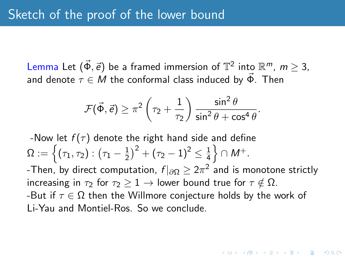$$
\mathcal{F}(\vec{\Phi}, \vec{e}) \geq \pi^2 \left(\tau_2 + \frac{1}{\tau_2}\right) \frac{\sin^2 \theta}{\sin^2 \theta + \cos^4 \theta}.
$$

-Now let  $f(\tau)$  denote the right hand side and define  $\Omega:=\Big\{(\tau_1,\tau_2): \big(\tau_1-\frac{1}{2}\big)$  $\left(\frac{1}{2}\right)^2+\left(\tau_2-1\right)^2\leq \frac{1}{4}$  $\frac{1}{4} \Big\} \cap M^+.$ -Then, by direct computation,  $f|_{\partial\Omega}\geq 2\pi^2$  and is monotone strictly increasing in  $\tau_2$  for  $\tau_2 > 1 \rightarrow$  lower bound true for  $\tau \notin \Omega$ . -But if  $\tau \in \Omega$  then the Willmore conjecture holds by the work of Li-Yau and Montiel-Ros. So we conclude.

**AD A RELATE LE POLO**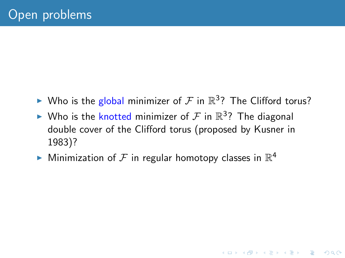$\blacktriangleright$  Who is the global minimizer of  $\mathcal F$  in  $\mathbb R^3$ ? The Clifford torus?

K ロ ▶ K @ ▶ K 할 > K 할 > 1 할 > 1 이익어

- $\blacktriangleright$  Who is the knotted minimizer of  $\mathcal F$  in  $\mathbb R^3$ ? The diagonal double cover of the Clifford torus (proposed by Kusner in 1983)?
- $\blacktriangleright$  Minimization of  ${\mathcal F}$  in regular homotopy classes in  ${\mathbb R}^4$